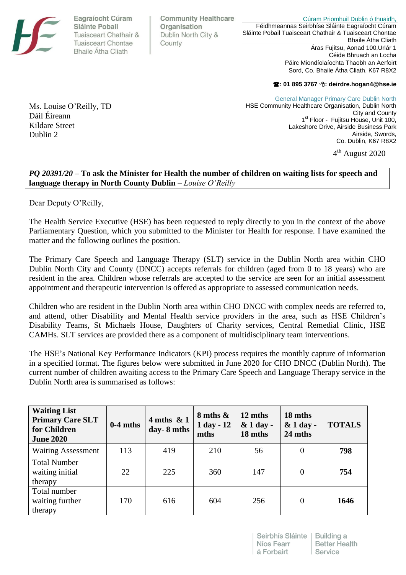Eagraíocht Cúram Sláinte Pobail Tuaisceart Chathair & **Tuaisceart Chontae Bhaile Átha Cliath** 

**Community Healthcare** Organisation Dublin North City & County

Cúram Priomhuil Dublin ó thuaidh, Féidhmeannas Seirbhíse Sláinte Eagraíocht Cúram Sláinte Pobail Tuaisceart Chathair & Tuaisceart Chontae Bhaile Átha Cliath Áras Fujitsu, Aonad 100,Urlár 1 Céide Bhruach an Locha Páirc Miondíolaíochta Thaobh an Aerfoirt Sord, Co. Bhaile Átha Cliath, K67 R8X2

(**: 01 895 3767** 8**: deirdre.hogan4@hse.ie**

Ms. Louise O'Reilly, TD Dáil Éireann Kildare Street Dublin 2

General Manager Primary Care Dublin North HSE Community Healthcare Organisation, Dublin North City and County 1<sup>st</sup> Floor - Fujitsu House, Unit 100, Lakeshore Drive, Airside Business Park Airside, Swords, Co. Dublin, K67 R8X2 4<sup>th</sup> August 2020

*PQ 20391/20* – **To ask the Minister for Health the number of children on waiting lists for speech and language therapy in North County Dublin** *– Louise O'Reilly* 

Dear Deputy O'Reilly,

The Health Service Executive (HSE) has been requested to reply directly to you in the context of the above Parliamentary Question, which you submitted to the Minister for Health for response. I have examined the matter and the following outlines the position.

The Primary Care Speech and Language Therapy (SLT) service in the Dublin North area within CHO Dublin North City and County (DNCC) accepts referrals for children (aged from 0 to 18 years) who are resident in the area. Children whose referrals are accepted to the service are seen for an initial assessment appointment and therapeutic intervention is offered as appropriate to assessed communication needs.

Children who are resident in the Dublin North area within CHO DNCC with complex needs are referred to, and attend, other Disability and Mental Health service providers in the area, such as HSE Children's Disability Teams, St Michaels House, Daughters of Charity services, Central Remedial Clinic, HSE CAMHs. SLT services are provided there as a component of multidisciplinary team interventions.

The HSE's National Key Performance Indicators (KPI) process requires the monthly capture of information in a specified format. The figures below were submitted in June 2020 for CHO DNCC (Dublin North). The current number of children awaiting access to the Primary Care Speech and Language Therapy service in the Dublin North area is summarised as follows:

| <b>Waiting List</b><br><b>Primary Care SLT</b><br>for Children<br><b>June 2020</b> | $0-4$ mths | $4$ mths & 1<br>day-8 mths | $8$ mths $\&$<br>1 day - 12<br>mths | 12 mths<br>$& 1 day -$<br>18 mths | 18 mths<br>$&$ 1 day -<br>24 mths | <b>TOTALS</b> |
|------------------------------------------------------------------------------------|------------|----------------------------|-------------------------------------|-----------------------------------|-----------------------------------|---------------|
| <b>Waiting Assessment</b>                                                          | 113        | 419                        | 210                                 | 56                                | $\overline{0}$                    | 798           |
| <b>Total Number</b><br>waiting initial<br>therapy                                  | 22         | 225                        | 360                                 | 147                               | $\overline{0}$                    | 754           |
| Total number<br>waiting further<br>therapy                                         | 170        | 616                        | 604                                 | 256                               | $\overline{0}$                    | 1646          |